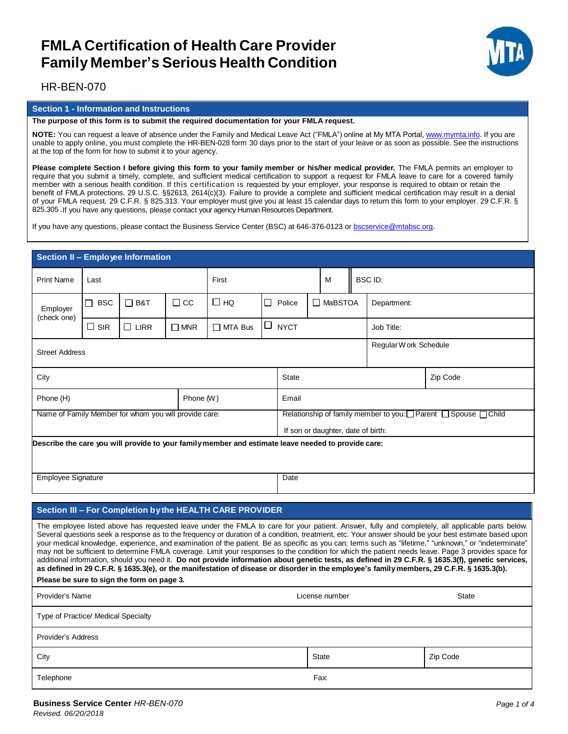

### HR-BEN-070

#### **Section 1 - Information and Instructions**

#### **The purpose of this form is to submit the required documentation for your FMLA request.**

**NOTE:** You can request a leave of absence under the Family and Medical Leave Act ("FMLA") online at My MTA Portal, www.mymta.info. If you are unable to apply online, you must complete the HR-BEN-028 form 30 days prior to the start of your leave or as soon as possible. See the instructions at the top of the form for how to submit it to your agency.

Please complete Section I before giving this form to your family member or his/her medical provider. The FMLA permits an employer to require that you submit a timely, complete, and sufficient medical certification to support a request for FMLA leave to care for a covered family member with a serious health condition. If this certification is requested by your employer, your response is required to obtain or retain the benefit of FMLA protections. 29 U.S.C. §§2613, 2614(c)(3). Failure to provide a complete and sufficient medical certification may result in a denial of your FMLA request. 29 C.F.R. § 825.313. Your employer must give you at least 15 calendar days to return this form to your employer. 29 C.F.R. § 825.305 .If you have any questions, please contact your agency Human Resources Department.

If you have any questions, please contact the Business Service Center (BSC) at 646-376-0123 or bscservice@mtabsc.org.

| Section II - Employee Information                                                                                                                                                                                                                                                                                                                                                                                                                                                                                                                                                                                                                                                                                                                                                                                                                                                                                                                                            |              |             |               |                |                        |                                    |                                                                                |                          |                |             |  |  |
|------------------------------------------------------------------------------------------------------------------------------------------------------------------------------------------------------------------------------------------------------------------------------------------------------------------------------------------------------------------------------------------------------------------------------------------------------------------------------------------------------------------------------------------------------------------------------------------------------------------------------------------------------------------------------------------------------------------------------------------------------------------------------------------------------------------------------------------------------------------------------------------------------------------------------------------------------------------------------|--------------|-------------|---------------|----------------|------------------------|------------------------------------|--------------------------------------------------------------------------------|--------------------------|----------------|-------------|--|--|
| <b>Print Name</b>                                                                                                                                                                                                                                                                                                                                                                                                                                                                                                                                                                                                                                                                                                                                                                                                                                                                                                                                                            | Last         |             | First         |                |                        |                                    | M                                                                              |                          | <b>BSC ID:</b> |             |  |  |
| Employer<br>(check one)                                                                                                                                                                                                                                                                                                                                                                                                                                                                                                                                                                                                                                                                                                                                                                                                                                                                                                                                                      | $\sqcap$ BSC | $\Box$ B&T  | $\Box$ CC     | □но            |                        | $\Box$ Police                      |                                                                                | $\Box$ MaBSTOA           |                | Department: |  |  |
|                                                                                                                                                                                                                                                                                                                                                                                                                                                                                                                                                                                                                                                                                                                                                                                                                                                                                                                                                                              | $\Box$ SIR   | $\Box$ LIRR | $\square$ MNR | $\Box$ MTA Bus |                        | $\Box$ NYCT                        |                                                                                |                          |                | Job Title:  |  |  |
| <b>Street Address</b>                                                                                                                                                                                                                                                                                                                                                                                                                                                                                                                                                                                                                                                                                                                                                                                                                                                                                                                                                        |              |             |               |                | Regular W ork Schedule |                                    |                                                                                |                          |                |             |  |  |
| City                                                                                                                                                                                                                                                                                                                                                                                                                                                                                                                                                                                                                                                                                                                                                                                                                                                                                                                                                                         |              |             |               |                |                        | Zip Code<br><b>State</b>           |                                                                                |                          |                |             |  |  |
| Phone (H)<br>Phone (W)                                                                                                                                                                                                                                                                                                                                                                                                                                                                                                                                                                                                                                                                                                                                                                                                                                                                                                                                                       |              |             |               |                |                        | Email                              |                                                                                |                          |                |             |  |  |
| Name of Family Member for whom you will provide care:                                                                                                                                                                                                                                                                                                                                                                                                                                                                                                                                                                                                                                                                                                                                                                                                                                                                                                                        |              |             |               |                |                        |                                    | Relationship of family member to you: $\Box$ Parent $\Box$ Spouse $\Box$ Child |                          |                |             |  |  |
|                                                                                                                                                                                                                                                                                                                                                                                                                                                                                                                                                                                                                                                                                                                                                                                                                                                                                                                                                                              |              |             |               |                |                        | If son or daughter, date of birth: |                                                                                |                          |                |             |  |  |
| Employee Signature                                                                                                                                                                                                                                                                                                                                                                                                                                                                                                                                                                                                                                                                                                                                                                                                                                                                                                                                                           |              |             |               |                |                        |                                    | Date                                                                           |                          |                |             |  |  |
| Section III - For Completion by the HEALTH CARE PROVIDER                                                                                                                                                                                                                                                                                                                                                                                                                                                                                                                                                                                                                                                                                                                                                                                                                                                                                                                     |              |             |               |                |                        |                                    |                                                                                |                          |                |             |  |  |
| The employee listed above has requested leave under the FMLA to care for your patient. Answer, fully and completely, all applicable parts below.<br>Several questions seek a response as to the frequency or duration of a condition, treatment, etc. Your answer should be your best estimate based upon<br>your medical knowledge, experience, and examination of the patient. Be as specific as you can; terms such as "lifetime," "unknown," or "indeterminate"<br>may not be sufficient to determine FMLA coverage. Limit your responses to the condition for which the patient needs leave. Page 3 provides space for<br>additional information, should you need it. Do not provide information about genetic tests, as defined in 29 C.F.R. § 1635.3(f), genetic services,<br>as defined in 29 C.F.R. § 1635.3(e), or the manifestation of disease or disorder in the employee's family members, 29 C.F.R. § 1635.3(b).<br>Please be sure to sign the form on page 3. |              |             |               |                |                        |                                    |                                                                                |                          |                |             |  |  |
| Provider's Name                                                                                                                                                                                                                                                                                                                                                                                                                                                                                                                                                                                                                                                                                                                                                                                                                                                                                                                                                              |              |             |               |                |                        | <b>State</b><br>License number     |                                                                                |                          |                |             |  |  |
| Type of Practice/ Medical Specialty                                                                                                                                                                                                                                                                                                                                                                                                                                                                                                                                                                                                                                                                                                                                                                                                                                                                                                                                          |              |             |               |                |                        |                                    |                                                                                |                          |                |             |  |  |
| <b>Provider's Address</b>                                                                                                                                                                                                                                                                                                                                                                                                                                                                                                                                                                                                                                                                                                                                                                                                                                                                                                                                                    |              |             |               |                |                        |                                    |                                                                                |                          |                |             |  |  |
| City                                                                                                                                                                                                                                                                                                                                                                                                                                                                                                                                                                                                                                                                                                                                                                                                                                                                                                                                                                         |              |             |               |                |                        |                                    |                                                                                | <b>State</b><br>Zip Code |                |             |  |  |
| Telephone                                                                                                                                                                                                                                                                                                                                                                                                                                                                                                                                                                                                                                                                                                                                                                                                                                                                                                                                                                    |              |             |               |                |                        |                                    | Fax:                                                                           |                          |                |             |  |  |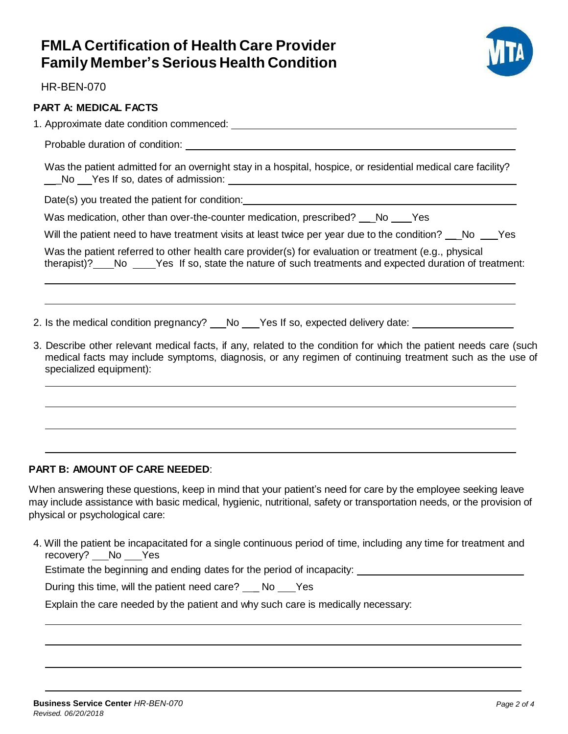

HR-BEN-070

### **PART A: MEDICAL FACTS**

1. Approximate date condition commenced:

Probable duration of condition:

Was the patient admitted for an overnight stay in a hospital, hospice, or residential medical care facility? Let No Let Yes If so, dates of admission:

Date(s) you treated the patient for condition:

Was medication, other than over-the-counter medication, prescribed? \_ No Yes

Will the patient need to have treatment visits at least twice per year due to the condition? No Yes

Was the patient referred to other health care provider(s) for evaluation or treatment (e.g., physical therapist)? No Yes If so, state the nature of such treatments and expected duration of treatment:

2. Is the medical condition pregnancy? No Yes If so, expected delivery date:

3. Describe other relevant medical facts, if any, related to the condition for which the patient needs care (such medical facts may include symptoms, diagnosis, or any regimen of continuing treatment such as the use of specialized equipment):

### **PART B: AMOUNT OF CARE NEEDED**:

When answering these questions, keep in mind that your patient's need for care by the employee seeking leave may include assistance with basic medical, hygienic, nutritional, safety or transportation needs, or the provision of physical or psychological care:

4. Will the patient be incapacitated for a single continuous period of time, including any time for treatment and recovery? No \_\_ Yes

Estimate the beginning and ending dates for the period of incapacity:

During this time, will the patient need care? \_ No Yes

Explain the care needed by the patient and why such care is medically necessary: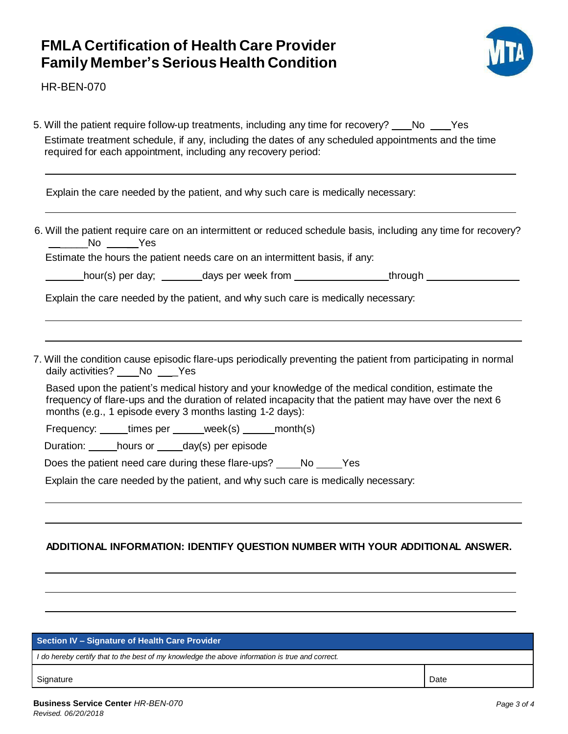

HR-BEN-070

| Estimate treatment schedule, if any, including the dates of any scheduled appointments and the time<br>required for each appointment, including any recovery period:<br>Explain the care needed by the patient, and why such care is medically necessary:<br>6. Will the patient require care on an intermittent or reduced schedule basis, including any time for recovery?<br>______No _____Yes<br>Estimate the hours the patient needs care on an intermittent basis, if any:<br>hour(s) per day; days per week from ________________through ____________________<br>Explain the care needed by the patient, and why such care is medically necessary:<br>7. Will the condition cause episodic flare-ups periodically preventing the patient from participating in normal<br>daily activities? ____ No ____ Yes<br>Based upon the patient's medical history and your knowledge of the medical condition, estimate the<br>frequency of flare-ups and the duration of related incapacity that the patient may have over the next 6<br>months (e.g., 1 episode every 3 months lasting 1-2 days):<br>Frequency: _____times per _____week(s) _____month(s)<br>Duration: hours or ____day(s) per episode |
|-------------------------------------------------------------------------------------------------------------------------------------------------------------------------------------------------------------------------------------------------------------------------------------------------------------------------------------------------------------------------------------------------------------------------------------------------------------------------------------------------------------------------------------------------------------------------------------------------------------------------------------------------------------------------------------------------------------------------------------------------------------------------------------------------------------------------------------------------------------------------------------------------------------------------------------------------------------------------------------------------------------------------------------------------------------------------------------------------------------------------------------------------------------------------------------------------------|
|                                                                                                                                                                                                                                                                                                                                                                                                                                                                                                                                                                                                                                                                                                                                                                                                                                                                                                                                                                                                                                                                                                                                                                                                       |
|                                                                                                                                                                                                                                                                                                                                                                                                                                                                                                                                                                                                                                                                                                                                                                                                                                                                                                                                                                                                                                                                                                                                                                                                       |
|                                                                                                                                                                                                                                                                                                                                                                                                                                                                                                                                                                                                                                                                                                                                                                                                                                                                                                                                                                                                                                                                                                                                                                                                       |
|                                                                                                                                                                                                                                                                                                                                                                                                                                                                                                                                                                                                                                                                                                                                                                                                                                                                                                                                                                                                                                                                                                                                                                                                       |
|                                                                                                                                                                                                                                                                                                                                                                                                                                                                                                                                                                                                                                                                                                                                                                                                                                                                                                                                                                                                                                                                                                                                                                                                       |
|                                                                                                                                                                                                                                                                                                                                                                                                                                                                                                                                                                                                                                                                                                                                                                                                                                                                                                                                                                                                                                                                                                                                                                                                       |
|                                                                                                                                                                                                                                                                                                                                                                                                                                                                                                                                                                                                                                                                                                                                                                                                                                                                                                                                                                                                                                                                                                                                                                                                       |
|                                                                                                                                                                                                                                                                                                                                                                                                                                                                                                                                                                                                                                                                                                                                                                                                                                                                                                                                                                                                                                                                                                                                                                                                       |
|                                                                                                                                                                                                                                                                                                                                                                                                                                                                                                                                                                                                                                                                                                                                                                                                                                                                                                                                                                                                                                                                                                                                                                                                       |
|                                                                                                                                                                                                                                                                                                                                                                                                                                                                                                                                                                                                                                                                                                                                                                                                                                                                                                                                                                                                                                                                                                                                                                                                       |
| Does the patient need care during these flare-ups? _____No _____Yes                                                                                                                                                                                                                                                                                                                                                                                                                                                                                                                                                                                                                                                                                                                                                                                                                                                                                                                                                                                                                                                                                                                                   |
| Explain the care needed by the patient, and why such care is medically necessary:                                                                                                                                                                                                                                                                                                                                                                                                                                                                                                                                                                                                                                                                                                                                                                                                                                                                                                                                                                                                                                                                                                                     |
|                                                                                                                                                                                                                                                                                                                                                                                                                                                                                                                                                                                                                                                                                                                                                                                                                                                                                                                                                                                                                                                                                                                                                                                                       |
|                                                                                                                                                                                                                                                                                                                                                                                                                                                                                                                                                                                                                                                                                                                                                                                                                                                                                                                                                                                                                                                                                                                                                                                                       |
|                                                                                                                                                                                                                                                                                                                                                                                                                                                                                                                                                                                                                                                                                                                                                                                                                                                                                                                                                                                                                                                                                                                                                                                                       |

#### **Section IV – Signature of Health Care Provider**

*I do hereby certify that to the best of my knowledge the above information is true and correct.*

Signature Date **Date of the Date of the Contract of the Contract of the Contract of Contract of Contract of Contract of Contract of Contract of Contract of Contract of Contract of Contract of Contract of Contract of Contra**